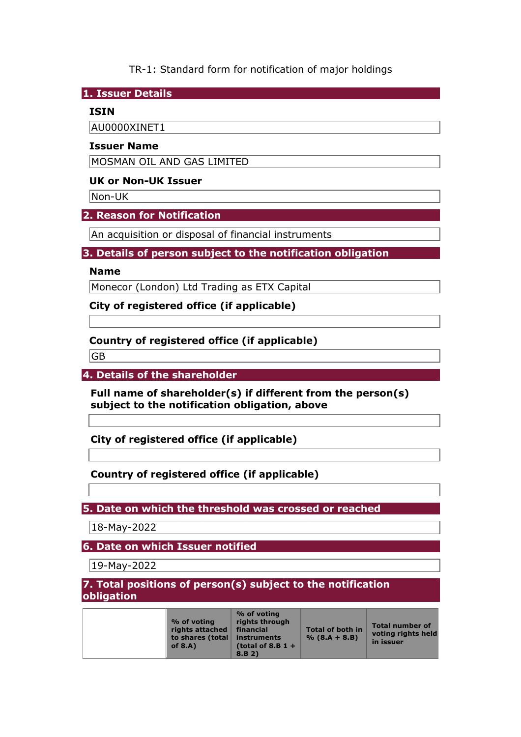TR-1: Standard form for notification of major holdings

**1. Issuer Details** 

## **ISIN**

AU0000XINET1

### **Issuer Name**

MOSMAN OIL AND GAS LIMITED

## **UK or Non-UK Issuer**

Non-UK

## **2. Reason for Notification**

An acquisition or disposal of financial instruments

## **3. Details of person subject to the notification obligation**

### **Name**

Monecor (London) Ltd Trading as ETX Capital

**City of registered office (if applicable)** 

# **Country of registered office (if applicable)**

GB

**4. Details of the shareholder** 

**Full name of shareholder(s) if different from the person(s) subject to the notification obligation, above** 

**City of registered office (if applicable)** 

# **Country of registered office (if applicable)**

**5. Date on which the threshold was crossed or reached** 

18-May-2022

**6. Date on which Issuer notified** 

19-May-2022

**7. Total positions of person(s) subject to the notification obligation** 

|  | % of voting<br>rights attached<br>to shares (total<br>of $8.A$ ) | % of voting<br>rights through<br>financial<br>instruments<br>(total of 8.B $1 +$<br>8.B.2) | Total of both in<br>$% (8.A + 8.B)$ | <b>Total number of</b><br>voting rights held<br>in issuer |
|--|------------------------------------------------------------------|--------------------------------------------------------------------------------------------|-------------------------------------|-----------------------------------------------------------|
|--|------------------------------------------------------------------|--------------------------------------------------------------------------------------------|-------------------------------------|-----------------------------------------------------------|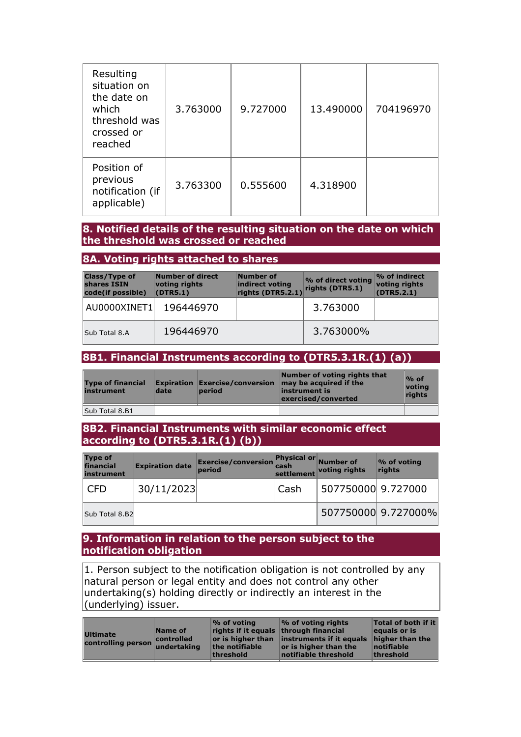| Resulting<br>situation on<br>the date on<br>which<br>threshold was<br>crossed or<br>reached | 3.763000 | 9.727000 | 13.490000 | 704196970 |
|---------------------------------------------------------------------------------------------|----------|----------|-----------|-----------|
| Position of<br>previous<br>notification (if<br>applicable)                                  | 3.763300 | 0.555600 | 4.318900  |           |

### **8. Notified details of the resulting situation on the date on which the threshold was crossed or reached**

### **8A. Voting rights attached to shares**

| <b>Class/Type of</b><br>shares ISIN<br>code(if possible) | Number of direct<br>voting rights<br>(DTR5.1) | Number of<br>indirect voting<br>rights (DTR5.2.1) | % of direct voting<br>rights (DTR5.1) | $\%$ of indirect<br>voting rights<br>(DTR5.2.1) |
|----------------------------------------------------------|-----------------------------------------------|---------------------------------------------------|---------------------------------------|-------------------------------------------------|
| AU0000XINET1                                             | 196446970                                     |                                                   | 3.763000                              |                                                 |
| Sub Total 8.A                                            | 196446970                                     |                                                   | 3.763000%                             |                                                 |

### **8B1. Financial Instruments according to (DTR5.3.1R.(1) (a))**

| <b>Type of financial</b><br>instrument | date | <b>period</b> | Number of voting rights that<br><b>Expiration Exercise/conversion may be acquired if the</b><br>instrument is<br>exercised/converted | $%$ of<br>votina<br>rights |
|----------------------------------------|------|---------------|--------------------------------------------------------------------------------------------------------------------------------------|----------------------------|
| Sub Total 8.B1                         |      |               |                                                                                                                                      |                            |

### **8B2. Financial Instruments with similar economic effect according to (DTR5.3.1R.(1) (b))**

| <b>Type of</b><br>financial<br>instrument | <b>Expiration date</b> | <b>Exercise/conversion Physical or Number of</b><br>period | cash | settlement voting rights | $\%$ of voting<br>rights |
|-------------------------------------------|------------------------|------------------------------------------------------------|------|--------------------------|--------------------------|
| <b>CFD</b>                                | 30/11/2023             |                                                            | Cash | 507750000 9.727000       |                          |
| Sub Total 8.B2                            |                        |                                                            |      |                          | 507750000 9.727000%      |

#### **9. Information in relation to the person subject to the notification obligation**

1. Person subject to the notification obligation is not controlled by any natural person or legal entity and does not control any other undertaking(s) holding directly or indirectly an interest in the (underlying) issuer.

| threshold<br>threshold<br>notifiable threshold |
|------------------------------------------------|
|------------------------------------------------|